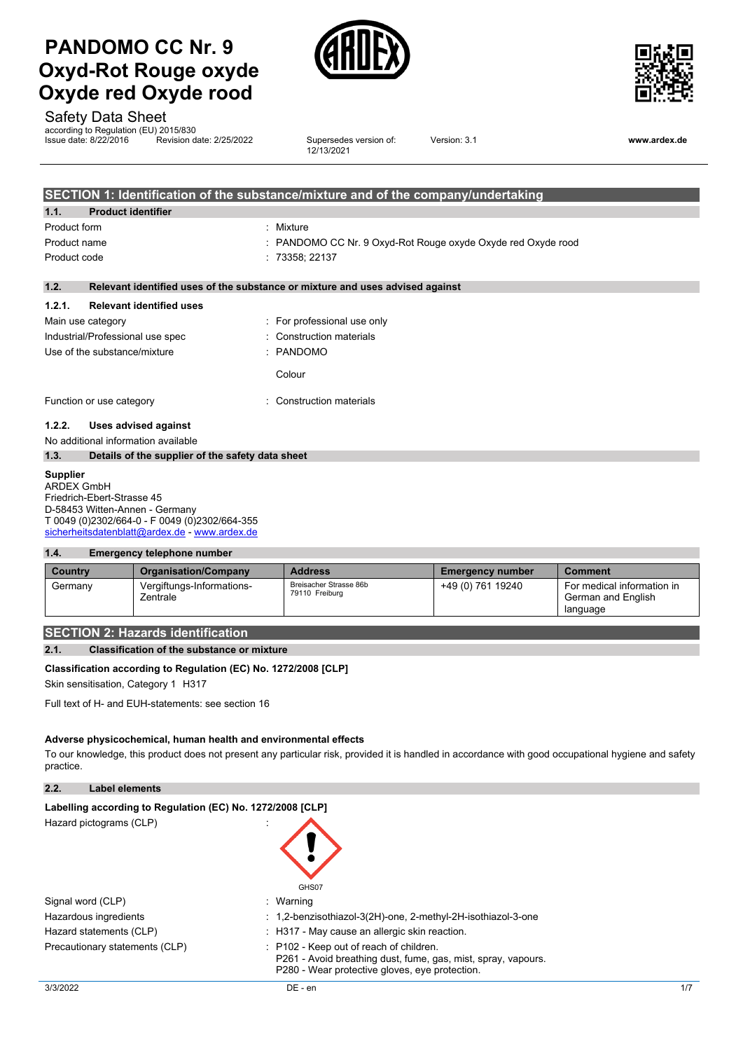# **PANDOMO CC Nr. 9 Oxyd-Rot Rouge oxyde Oxyde red Oxyde rood**





Safety Data Sheet

according to Regulation (EU) 2015/830

Issue date: 8/22/2016 Revision date: 2/25/2022 Supersedes version of: 12/13/2021

Version: 3.1 **www.ardex.de**

|                 |                                                  | SECTION 1: Identification of the substance/mixture and of the company/undertaking |
|-----------------|--------------------------------------------------|-----------------------------------------------------------------------------------|
| 1.1.            | <b>Product identifier</b>                        |                                                                                   |
| Product form    |                                                  | Mixture<br>÷.                                                                     |
| Product name    |                                                  | : PANDOMO CC Nr. 9 Oxyd-Rot Rouge oxyde Oxyde red Oxyde rood                      |
| Product code    |                                                  | : 73358; 22137                                                                    |
| 1.2.            |                                                  | Relevant identified uses of the substance or mixture and uses advised against     |
| 1.2.1.          | <b>Relevant identified uses</b>                  |                                                                                   |
|                 | Main use category                                | : For professional use only                                                       |
|                 | Industrial/Professional use spec                 | Construction materials                                                            |
|                 | Use of the substance/mixture                     | $:$ PANDOMO                                                                       |
|                 |                                                  | Colour                                                                            |
|                 | Function or use category                         | Construction materials                                                            |
| 1.2.2.          | Uses advised against                             |                                                                                   |
|                 | No additional information available              |                                                                                   |
| 1.3.            | Details of the supplier of the safety data sheet |                                                                                   |
| <b>Supplier</b> |                                                  |                                                                                   |

ARDEX GmbH Friedrich-Ebert-Strasse 45 D-58453 Witten-Annen - Germany T 0049 (0)2302/664-0 - F 0049 (0)2302/664-355 [sicherheitsdatenblatt@ardex.de](mailto:sicherheitsdatenblatt@ardex.de) - [www.ardex.de](http://www.ardex.de/)

## **1.4. Emergency telephone number**

| Country | <b>Organisation/Company</b>           | <b>Address</b>                           | <b>Emergency number</b> | <b>Comment</b>                                               |
|---------|---------------------------------------|------------------------------------------|-------------------------|--------------------------------------------------------------|
| Germany | Vergiftungs-Informations-<br>Zentrale | Breisacher Strasse 86b<br>79110 Freiburg | +49 (0) 761 19240       | For medical information in<br>German and English<br>language |

## **SECTION 2: Hazards identification**

**2.1. Classification of the substance or mixture**

## **Classification according to Regulation (EC) No. 1272/2008 [CLP]**

Skin sensitisation, Category 1 H317

Full text of H- and EUH-statements: see section 16

#### **Adverse physicochemical, human health and environmental effects**

To our knowledge, this product does not present any particular risk, provided it is handled in accordance with good occupational hygiene and safety practice.

## **2.2. Label elements**

| Labelling according to Regulation (EC) No. 1272/2008 [CLP] |                                                                                                                                                            |
|------------------------------------------------------------|------------------------------------------------------------------------------------------------------------------------------------------------------------|
| Hazard pictograms (CLP)                                    | GHS07                                                                                                                                                      |
| Signal word (CLP)                                          | : Warning                                                                                                                                                  |
| Hazardous ingredients                                      | : 1,2-benzisothiazol-3(2H)-one, 2-methyl-2H-isothiazol-3-one                                                                                               |
| Hazard statements (CLP)                                    | $\pm$ H317 - May cause an allergic skin reaction.                                                                                                          |
| Precautionary statements (CLP)                             | : P102 - Keep out of reach of children.<br>P261 - Avoid breathing dust, fume, gas, mist, spray, vapours.<br>P280 - Wear protective gloves, eve protection. |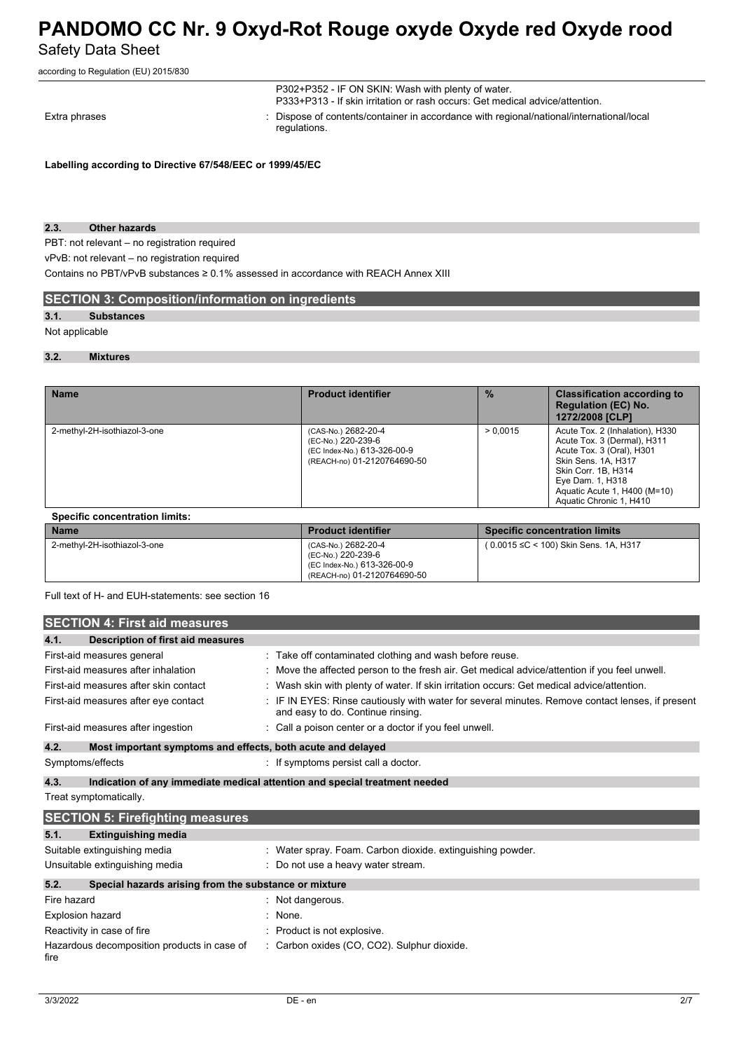according to Regulation (EU) 2015/830

|               | P302+P352 - IF ON SKIN: Wash with plenty of water.<br>P333+P313 - If skin irritation or rash occurs: Get medical advice/attention. |
|---------------|------------------------------------------------------------------------------------------------------------------------------------|
| Extra phrases | : Dispose of contents/container in accordance with regional/national/international/local<br>requlations.                           |

**Labelling according to Directive 67/548/EEC or 1999/45/EC**

## **2.3. Other hazards**

PBT: not relevant – no registration required

vPvB: not relevant – no registration required

Contains no PBT/vPvB substances ≥ 0.1% assessed in accordance with REACH Annex XIII

## **SECTION 3: Composition/information on ingredients**

## **3.1. Substances**

Not applicable

## **3.2. Mixtures**

| <b>Name</b>                  | <b>Product identifier</b>                                                                               | $\frac{0}{2}$ | <b>Classification according to</b><br><b>Regulation (EC) No.</b><br>1272/2008 [CLP]                                                                                                                                      |
|------------------------------|---------------------------------------------------------------------------------------------------------|---------------|--------------------------------------------------------------------------------------------------------------------------------------------------------------------------------------------------------------------------|
| 2-methyl-2H-isothiazol-3-one | (CAS-No.) 2682-20-4<br>(EC-No.) 220-239-6<br>(EC Index-No.) 613-326-00-9<br>(REACH-no) 01-2120764690-50 | > 0.0015      | Acute Tox. 2 (Inhalation), H330<br>Acute Tox. 3 (Dermal), H311<br>Acute Tox. 3 (Oral), H301<br>Skin Sens, 1A, H317<br>Skin Corr. 1B, H314<br>Eye Dam. 1, H318<br>Aquatic Acute 1, H400 (M=10)<br>Aquatic Chronic 1, H410 |

## **Specific concentration limits:**

| <b>Name</b>                  | <b>Product identifier</b>                                                                               | <b>Specific concentration limits</b>   |
|------------------------------|---------------------------------------------------------------------------------------------------------|----------------------------------------|
| 2-methyl-2H-isothiazol-3-one | (CAS-No.) 2682-20-4<br>(EC-No.) 220-239-6<br>(EC Index-No.) 613-326-00-9<br>(REACH-no) 01-2120764690-50 | ( 0.0015 ≤C < 100) Skin Sens, 1A, H317 |

Full text of H- and EUH-statements: see section 16

| <b>SECTION 4: First aid measures</b>                                |                                                                                                                                       |  |  |
|---------------------------------------------------------------------|---------------------------------------------------------------------------------------------------------------------------------------|--|--|
| 4.1.<br>Description of first aid measures                           |                                                                                                                                       |  |  |
| First-aid measures general                                          | : Take off contaminated clothing and wash before reuse.                                                                               |  |  |
| First-aid measures after inhalation                                 | : Move the affected person to the fresh air. Get medical advice/attention if you feel unwell.                                         |  |  |
| First-aid measures after skin contact                               | : Wash skin with plenty of water. If skin irritation occurs: Get medical advice/attention.                                            |  |  |
| First-aid measures after eye contact                                | : IF IN EYES: Rinse cautiously with water for several minutes. Remove contact lenses, if present<br>and easy to do. Continue rinsing. |  |  |
| First-aid measures after ingestion                                  | : Call a poison center or a doctor if you feel unwell.                                                                                |  |  |
| 4.2.<br>Most important symptoms and effects, both acute and delayed |                                                                                                                                       |  |  |
| Symptoms/effects                                                    | If symptoms persist call a doctor.                                                                                                    |  |  |
| 4.3.                                                                | Indication of any immediate medical attention and special treatment needed                                                            |  |  |

Treat symptomatically.

| <b>SECTION 5: Firefighting measures</b>                       |                                                            |  |
|---------------------------------------------------------------|------------------------------------------------------------|--|
| 5.1.<br><b>Extinguishing media</b>                            |                                                            |  |
| Suitable extinguishing media                                  | : Water spray. Foam. Carbon dioxide. extinguishing powder. |  |
| Unsuitable extinguishing media                                | : Do not use a heavy water stream.                         |  |
| 5.2.<br>Special hazards arising from the substance or mixture |                                                            |  |
| Fire hazard                                                   | : Not dangerous.                                           |  |
| <b>Explosion hazard</b>                                       | $:$ None.                                                  |  |
| Reactivity in case of fire                                    | : Product is not explosive.                                |  |
| Hazardous decomposition products in case of<br>fire           | : Carbon oxides (CO, CO2). Sulphur dioxide.                |  |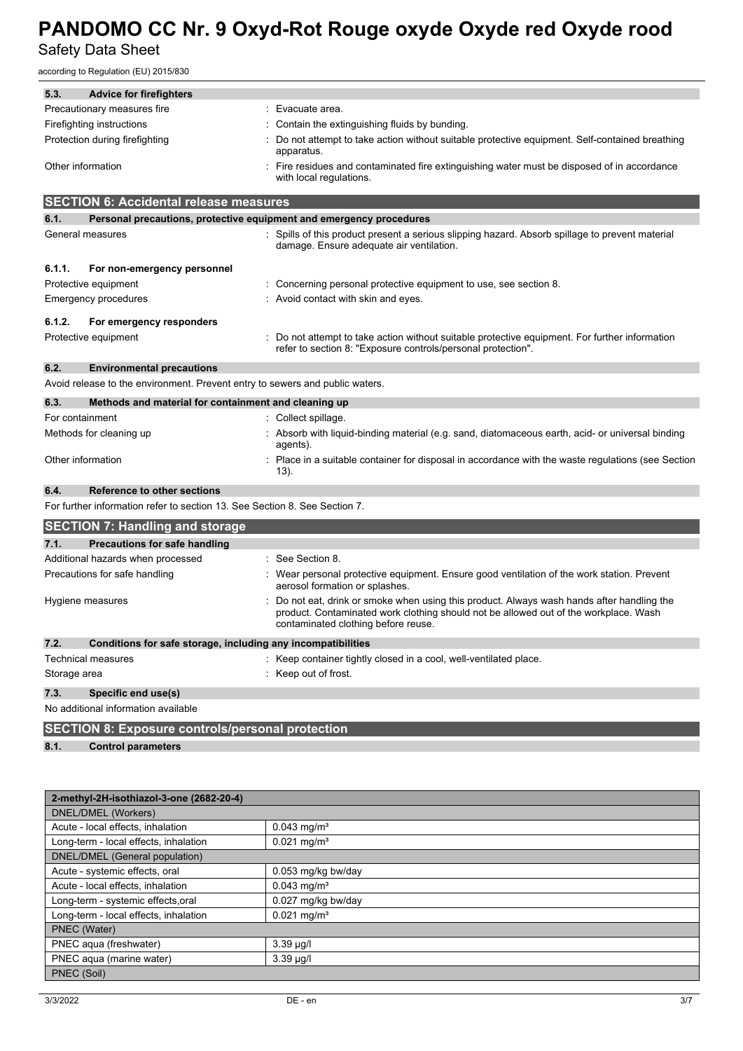according to Regulation (EU) 2015/830

| 5.3.                           | <b>Advice for firefighters</b>                                               |                                                                                                                                                                                                                         |
|--------------------------------|------------------------------------------------------------------------------|-------------------------------------------------------------------------------------------------------------------------------------------------------------------------------------------------------------------------|
|                                | Precautionary measures fire                                                  | Evacuate area.<br>÷                                                                                                                                                                                                     |
|                                | Firefighting instructions                                                    | Contain the extinguishing fluids by bunding.                                                                                                                                                                            |
| Protection during firefighting |                                                                              | Do not attempt to take action without suitable protective equipment. Self-contained breathing<br>apparatus.                                                                                                             |
| Other information              |                                                                              | Fire residues and contaminated fire extinguishing water must be disposed of in accordance<br>with local regulations.                                                                                                    |
|                                | <b>SECTION 6: Accidental release measures</b>                                |                                                                                                                                                                                                                         |
| 6.1.                           | Personal precautions, protective equipment and emergency procedures          |                                                                                                                                                                                                                         |
|                                | General measures                                                             | Spills of this product present a serious slipping hazard. Absorb spillage to prevent material<br>damage. Ensure adequate air ventilation.                                                                               |
| 6.1.1.                         | For non-emergency personnel                                                  |                                                                                                                                                                                                                         |
|                                | Protective equipment                                                         | Concerning personal protective equipment to use, see section 8.                                                                                                                                                         |
|                                | Emergency procedures                                                         | Avoid contact with skin and eyes.                                                                                                                                                                                       |
| 6.1.2.                         | For emergency responders                                                     |                                                                                                                                                                                                                         |
|                                | Protective equipment                                                         | Do not attempt to take action without suitable protective equipment. For further information<br>refer to section 8: "Exposure controls/personal protection".                                                            |
| 6.2.                           | <b>Environmental precautions</b>                                             |                                                                                                                                                                                                                         |
|                                | Avoid release to the environment. Prevent entry to sewers and public waters. |                                                                                                                                                                                                                         |
| 6.3.                           | Methods and material for containment and cleaning up                         |                                                                                                                                                                                                                         |
| For containment                |                                                                              | : Collect spillage.                                                                                                                                                                                                     |
|                                | Methods for cleaning up                                                      | Absorb with liquid-binding material (e.g. sand, diatomaceous earth, acid- or universal binding<br>agents).                                                                                                              |
|                                | Other information                                                            | Place in a suitable container for disposal in accordance with the waste regulations (see Section<br>13).                                                                                                                |
| 6.4.                           | <b>Reference to other sections</b>                                           |                                                                                                                                                                                                                         |
|                                | For further information refer to section 13. See Section 8. See Section 7.   |                                                                                                                                                                                                                         |
|                                | <b>SECTION 7: Handling and storage</b>                                       |                                                                                                                                                                                                                         |
| 7.1.                           | Precautions for safe handling                                                |                                                                                                                                                                                                                         |
|                                | Additional hazards when processed                                            | : See Section 8.                                                                                                                                                                                                        |
|                                | Precautions for safe handling                                                | Wear personal protective equipment. Ensure good ventilation of the work station. Prevent<br>aerosol formation or splashes.                                                                                              |
|                                | Hygiene measures                                                             | Do not eat, drink or smoke when using this product. Always wash hands after handling the<br>product. Contaminated work clothing should not be allowed out of the workplace. Wash<br>contaminated clothing before reuse. |
| 7.2.                           | Conditions for safe storage, including any incompatibilities                 |                                                                                                                                                                                                                         |
|                                | Technical measures                                                           | Keep container tightly closed in a cool, well-ventilated place.                                                                                                                                                         |
| Storage area                   |                                                                              | : Keep out of frost.                                                                                                                                                                                                    |
| 7.3.                           | Specific end use(s)                                                          |                                                                                                                                                                                                                         |
|                                | No additional information available                                          |                                                                                                                                                                                                                         |
|                                | <b>SECTION 8: Exposure controls/personal protection</b>                      |                                                                                                                                                                                                                         |
| 8.1.                           | <b>Control parameters</b>                                                    |                                                                                                                                                                                                                         |
|                                | 2-methyl-2H-isothiazol-3-one (2682-20-4)                                     |                                                                                                                                                                                                                         |
|                                | <b>DNEL/DMEL (Workers)</b>                                                   |                                                                                                                                                                                                                         |
|                                | Acute - local effects, inhalation                                            | $0.043$ mg/m <sup>3</sup>                                                                                                                                                                                               |
|                                | Long-term - local effects, inhalation                                        | $0.021$ mg/m <sup>3</sup>                                                                                                                                                                                               |

DNEL/DMEL (General population) Acute - systemic effects, oral  $\vert$  0.053 mg/kg bw/day Acute - local effects, inhalation 0.043 mg/m<sup>3</sup> Long-term - systemic effects, oral  $\vert$  0.027 mg/kg bw/day Long-term - local effects, inhalation | 0.021 mg/m<sup>3</sup> PNEC (Water) PNEC aqua (freshwater) 3.39 μg/l PNEC aqua (marine water) 3.39 μg/l PNEC (Soil)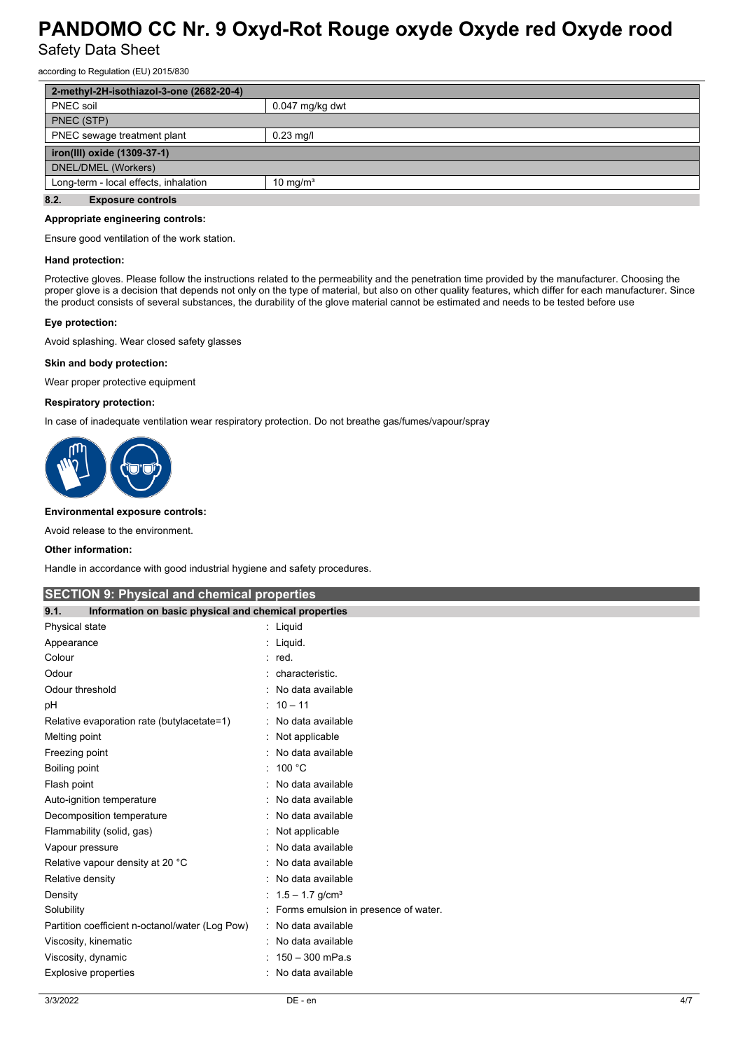according to Regulation (EU) 2015/830

| 2-methyl-2H-isothiazol-3-one (2682-20-4)                      |                   |  |
|---------------------------------------------------------------|-------------------|--|
| PNEC soil                                                     | $0.047$ mg/kg dwt |  |
| PNEC (STP)                                                    |                   |  |
| PNEC sewage treatment plant<br>$0.23$ mg/l                    |                   |  |
| iron(III) oxide (1309-37-1)                                   |                   |  |
| DNEL/DMEL (Workers)                                           |                   |  |
| Long-term - local effects, inhalation<br>10 mg/m <sup>3</sup> |                   |  |
| 8.2.<br><b>Exposure controls</b>                              |                   |  |

#### **Appropriate engineering controls:**

Ensure good ventilation of the work station.

#### **Hand protection:**

Protective gloves. Please follow the instructions related to the permeability and the penetration time provided by the manufacturer. Choosing the proper glove is a decision that depends not only on the type of material, but also on other quality features, which differ for each manufacturer. Since the product consists of several substances, the durability of the glove material cannot be estimated and needs to be tested before use

## **Eye protection:**

Avoid splashing. Wear closed safety glasses

#### **Skin and body protection:**

Wear proper protective equipment

### **Respiratory protection:**

In case of inadequate ventilation wear respiratory protection. Do not breathe gas/fumes/vapour/spray



### **Environmental exposure controls:**

Avoid release to the environment.

#### **Other information:**

Handle in accordance with good industrial hygiene and safety procedures.

## **SECTION 9: Physical and chemical properties**

| 9.1.<br>Information on basic physical and chemical properties |                                      |  |
|---------------------------------------------------------------|--------------------------------------|--|
| Physical state                                                | : Liquid                             |  |
| Appearance                                                    | : Liquid.                            |  |
| Colour                                                        | $:$ red.                             |  |
| Odour                                                         | characteristic.                      |  |
| Odour threshold                                               | No data available                    |  |
| рH                                                            | $: 10 - 11$                          |  |
| Relative evaporation rate (butylacetate=1)                    | No data available                    |  |
| Melting point                                                 | Not applicable                       |  |
| Freezing point                                                | No data available                    |  |
| Boiling point                                                 | : 100 °C                             |  |
| Flash point                                                   | No data available                    |  |
| Auto-ignition temperature                                     | No data available                    |  |
| Decomposition temperature                                     | No data available                    |  |
| Flammability (solid, gas)                                     | Not applicable                       |  |
| Vapour pressure                                               | No data available                    |  |
| Relative vapour density at 20 °C                              | No data available                    |  |
| Relative density                                              | No data available                    |  |
| Density                                                       | : $1.5 - 1.7$ g/cm <sup>3</sup>      |  |
| Solubility                                                    | Forms emulsion in presence of water. |  |
| Partition coefficient n-octanol/water (Log Pow)               | : No data available                  |  |
| Viscosity, kinematic                                          | No data available<br>۰               |  |
| Viscosity, dynamic                                            | 150 - 300 mPa.s                      |  |
| Explosive properties                                          | No data available                    |  |
|                                                               |                                      |  |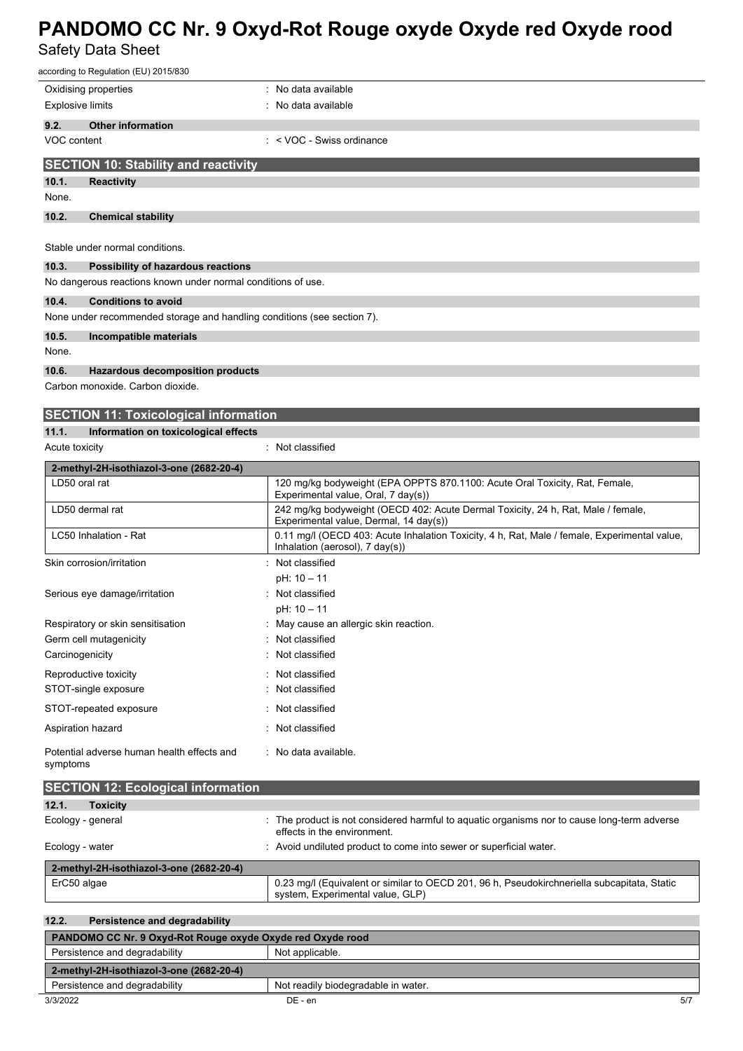| according to Regulation (EU) 2015/830                                   |                                                                                                                                 |  |  |  |  |
|-------------------------------------------------------------------------|---------------------------------------------------------------------------------------------------------------------------------|--|--|--|--|
| Oxidising properties                                                    | : No data available                                                                                                             |  |  |  |  |
| <b>Explosive limits</b>                                                 | : No data available                                                                                                             |  |  |  |  |
| 9.2.<br><b>Other information</b>                                        |                                                                                                                                 |  |  |  |  |
| VOC content                                                             | $\cdot$ < VOC - Swiss ordinance                                                                                                 |  |  |  |  |
| <b>SECTION 10: Stability and reactivity</b>                             |                                                                                                                                 |  |  |  |  |
| 10.1.<br><b>Reactivity</b>                                              |                                                                                                                                 |  |  |  |  |
| None.                                                                   |                                                                                                                                 |  |  |  |  |
| 10.2.<br><b>Chemical stability</b>                                      |                                                                                                                                 |  |  |  |  |
|                                                                         |                                                                                                                                 |  |  |  |  |
| Stable under normal conditions.                                         |                                                                                                                                 |  |  |  |  |
| 10.3.<br>Possibility of hazardous reactions                             |                                                                                                                                 |  |  |  |  |
| No dangerous reactions known under normal conditions of use.            |                                                                                                                                 |  |  |  |  |
| 10.4.<br><b>Conditions to avoid</b>                                     |                                                                                                                                 |  |  |  |  |
| None under recommended storage and handling conditions (see section 7). |                                                                                                                                 |  |  |  |  |
| 10.5.<br>Incompatible materials                                         |                                                                                                                                 |  |  |  |  |
| None.                                                                   |                                                                                                                                 |  |  |  |  |
| 10.6.<br><b>Hazardous decomposition products</b>                        |                                                                                                                                 |  |  |  |  |
| Carbon monoxide. Carbon dioxide.                                        |                                                                                                                                 |  |  |  |  |
| <b>SECTION 11: Toxicological information</b>                            |                                                                                                                                 |  |  |  |  |
| 11.1.<br>Information on toxicological effects                           |                                                                                                                                 |  |  |  |  |
| Acute toxicity                                                          | : Not classified                                                                                                                |  |  |  |  |
| 2-methyl-2H-isothiazol-3-one (2682-20-4)                                |                                                                                                                                 |  |  |  |  |
| LD50 oral rat                                                           | 120 mg/kg bodyweight (EPA OPPTS 870.1100: Acute Oral Toxicity, Rat, Female,<br>Experimental value, Oral, 7 day(s))              |  |  |  |  |
| LD50 dermal rat                                                         | 242 mg/kg bodyweight (OECD 402: Acute Dermal Toxicity, 24 h, Rat, Male / female,<br>Experimental value, Dermal, 14 day(s))      |  |  |  |  |
| LC50 Inhalation - Rat                                                   | 0.11 mg/l (OECD 403: Acute Inhalation Toxicity, 4 h, Rat, Male / female, Experimental value,<br>Inhalation (aerosol), 7 day(s)) |  |  |  |  |
| Skin corrosion/irritation                                               | : Not classified                                                                                                                |  |  |  |  |
|                                                                         | pH: 10 - 11                                                                                                                     |  |  |  |  |
| Serious eye damage/irritation                                           | : Not classified                                                                                                                |  |  |  |  |
| $nH \cdot 10$ 11                                                        |                                                                                                                                 |  |  |  |  |

| Serious eye damage/imitation                           | <b>NOT CLASSIFIED</b>                  |
|--------------------------------------------------------|----------------------------------------|
|                                                        | $pH: 10 - 11$                          |
| Respiratory or skin sensitisation                      | : May cause an allergic skin reaction. |
| Germ cell mutagenicity                                 | : Not classified                       |
| Carcinogenicity                                        | : Not classified                       |
| Reproductive toxicity                                  | : Not classified                       |
| STOT-single exposure                                   | : Not classified                       |
| STOT-repeated exposure                                 | : Not classified                       |
| Aspiration hazard                                      | : Not classified                       |
| Potential adverse human health effects and<br>symptoms | : No data available.                   |

| <b>SECTION 12: Ecological information</b> |                                                                                                                                 |  |  |  |
|-------------------------------------------|---------------------------------------------------------------------------------------------------------------------------------|--|--|--|
| 12.1.<br><b>Toxicity</b>                  |                                                                                                                                 |  |  |  |
| Ecology - general                         | The product is not considered harmful to aquatic organisms nor to cause long-term adverse<br>effects in the environment.        |  |  |  |
| Ecology - water                           | : Avoid undiluted product to come into sewer or superficial water.                                                              |  |  |  |
| 2-methyl-2H-isothiazol-3-one (2682-20-4)  |                                                                                                                                 |  |  |  |
| ErC50 algae                               | 0.23 mg/l (Equivalent or similar to OECD 201, 96 h, Pseudokirchneriella subcapitata, Static<br>system, Experimental value, GLP) |  |  |  |

## **12.2. Persistence and degradability**

| PANDOMO CC Nr. 9 Oxyd-Rot Rouge oxyde Oxyde red Oxyde rood |                                     |  |  |  |  |
|------------------------------------------------------------|-------------------------------------|--|--|--|--|
| Persistence and degradability<br>Not applicable.           |                                     |  |  |  |  |
| 2-methyl-2H-isothiazol-3-one (2682-20-4)                   |                                     |  |  |  |  |
| Persistence and degradability                              | Not readily biodegradable in water. |  |  |  |  |
| 3/3/2022                                                   | 5/7<br>$DE - en$                    |  |  |  |  |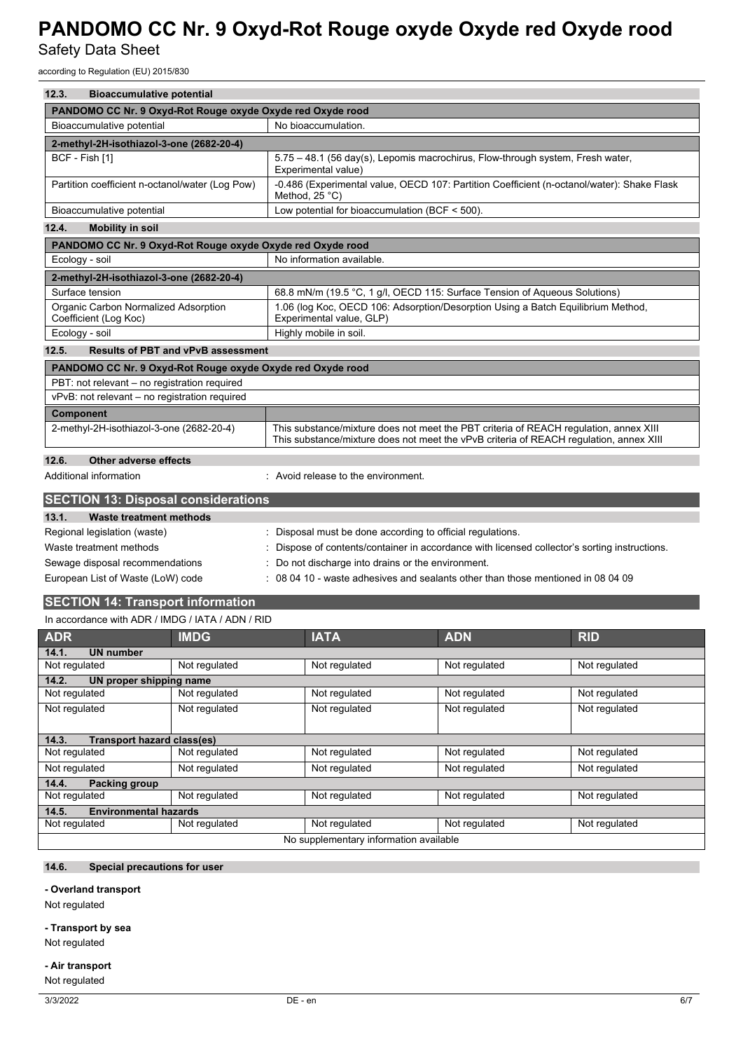according to Regulation (EU) 2015/830

| 12.3.<br><b>Bioaccumulative potential</b>                                                                               |                                                                                                                                                                                 |  |  |  |  |  |  |  |
|-------------------------------------------------------------------------------------------------------------------------|---------------------------------------------------------------------------------------------------------------------------------------------------------------------------------|--|--|--|--|--|--|--|
| PANDOMO CC Nr. 9 Oxyd-Rot Rouge oxyde Oxyde red Oxyde rood                                                              |                                                                                                                                                                                 |  |  |  |  |  |  |  |
| No bioaccumulation.<br>Bioaccumulative potential                                                                        |                                                                                                                                                                                 |  |  |  |  |  |  |  |
| 2-methyl-2H-isothiazol-3-one (2682-20-4)                                                                                |                                                                                                                                                                                 |  |  |  |  |  |  |  |
| BCF - Fish [1]<br>5.75 - 48.1 (56 day(s), Lepomis macrochirus, Flow-through system, Fresh water,<br>Experimental value) |                                                                                                                                                                                 |  |  |  |  |  |  |  |
| Partition coefficient n-octanol/water (Log Pow)                                                                         | -0.486 (Experimental value, OECD 107: Partition Coefficient (n-octanol/water): Shake Flask<br>Method, 25 °C)                                                                    |  |  |  |  |  |  |  |
| Bioaccumulative potential                                                                                               | Low potential for bioaccumulation (BCF < 500).                                                                                                                                  |  |  |  |  |  |  |  |
| 12.4.<br><b>Mobility in soil</b>                                                                                        |                                                                                                                                                                                 |  |  |  |  |  |  |  |
| PANDOMO CC Nr. 9 Oxyd-Rot Rouge oxyde Oxyde red Oxyde rood                                                              |                                                                                                                                                                                 |  |  |  |  |  |  |  |
| Ecology - soil                                                                                                          | No information available.                                                                                                                                                       |  |  |  |  |  |  |  |
| 2-methyl-2H-isothiazol-3-one (2682-20-4)                                                                                |                                                                                                                                                                                 |  |  |  |  |  |  |  |
| Surface tension                                                                                                         | 68.8 mN/m (19.5 °C, 1 g/l, OECD 115: Surface Tension of Aqueous Solutions)                                                                                                      |  |  |  |  |  |  |  |
| Organic Carbon Normalized Adsorption<br>Coefficient (Log Koc)                                                           | 1.06 (log Koc, OECD 106: Adsorption/Desorption Using a Batch Equilibrium Method,<br>Experimental value, GLP)                                                                    |  |  |  |  |  |  |  |
| Ecology - soil                                                                                                          | Highly mobile in soil.                                                                                                                                                          |  |  |  |  |  |  |  |
| 12.5.<br><b>Results of PBT and vPvB assessment</b>                                                                      |                                                                                                                                                                                 |  |  |  |  |  |  |  |
| PANDOMO CC Nr. 9 Oxyd-Rot Rouge oxyde Oxyde red Oxyde rood                                                              |                                                                                                                                                                                 |  |  |  |  |  |  |  |
| PBT: not relevant - no registration required                                                                            |                                                                                                                                                                                 |  |  |  |  |  |  |  |
| vPvB: not relevant - no registration required                                                                           |                                                                                                                                                                                 |  |  |  |  |  |  |  |
| <b>Component</b>                                                                                                        |                                                                                                                                                                                 |  |  |  |  |  |  |  |
| 2-methyl-2H-isothiazol-3-one (2682-20-4)                                                                                | This substance/mixture does not meet the PBT criteria of REACH regulation, annex XIII<br>This substance/mixture does not meet the vPvB criteria of REACH requiation, annex XIII |  |  |  |  |  |  |  |
| 12.6.<br><b>Other adverse effects</b>                                                                                   |                                                                                                                                                                                 |  |  |  |  |  |  |  |
| Additional information                                                                                                  | : Avoid release to the environment.                                                                                                                                             |  |  |  |  |  |  |  |
| <b>SECTION 13: Disposal considerations</b>                                                                              |                                                                                                                                                                                 |  |  |  |  |  |  |  |
| 13.1.<br><b>Waste treatment methods</b>                                                                                 |                                                                                                                                                                                 |  |  |  |  |  |  |  |
| Regional legislation (waste)                                                                                            | Disposal must be done according to official regulations.                                                                                                                        |  |  |  |  |  |  |  |
| Waste treatment methods<br>Dispose of contents/container in accordance with licensed collector's sorting instructions.  |                                                                                                                                                                                 |  |  |  |  |  |  |  |
| Sewage disposal recommendations<br>Do not discharge into drains or the environment.                                     |                                                                                                                                                                                 |  |  |  |  |  |  |  |
| European List of Waste (LoW) code                                                                                       | 08 04 10 - waste adhesives and sealants other than those mentioned in 08 04 09                                                                                                  |  |  |  |  |  |  |  |
| <b>SECTION 14: Transport information</b>                                                                                |                                                                                                                                                                                 |  |  |  |  |  |  |  |
| In accordance with ADR / IMDG / IATA / ADN / RID                                                                        |                                                                                                                                                                                 |  |  |  |  |  |  |  |
| $\mathbf{H}$<br>AND                                                                                                     | $I$ $A$ $T$ $A$<br>ADN<br><b>DID</b>                                                                                                                                            |  |  |  |  |  |  |  |

| <b>ADR</b>                                 | <b>IMDG</b>   | <b>IATA</b>                            | <b>ADN</b>    | <b>RID</b>    |  |  |
|--------------------------------------------|---------------|----------------------------------------|---------------|---------------|--|--|
| <b>UN number</b><br>14.1.                  |               |                                        |               |               |  |  |
| Not regulated                              | Not regulated | Not regulated                          | Not regulated | Not regulated |  |  |
| 14.2.<br>UN proper shipping name           |               |                                        |               |               |  |  |
| Not regulated                              | Not regulated | Not regulated                          | Not regulated | Not regulated |  |  |
| Not regulated                              | Not regulated | Not regulated                          | Not regulated | Not regulated |  |  |
|                                            |               |                                        |               |               |  |  |
| <b>Transport hazard class(es)</b><br>14.3. |               |                                        |               |               |  |  |
| Not regulated                              | Not regulated | Not regulated                          | Not regulated | Not regulated |  |  |
| Not regulated                              | Not regulated | Not regulated                          | Not regulated | Not regulated |  |  |
| <b>Packing group</b><br>14.4.              |               |                                        |               |               |  |  |
| Not regulated                              | Not regulated | Not regulated                          | Not regulated | Not regulated |  |  |
| <b>Environmental hazards</b><br>14.5.      |               |                                        |               |               |  |  |
| Not regulated<br>Not regulated             |               | Not regulated                          | Not regulated | Not regulated |  |  |
|                                            |               | No supplementary information available |               |               |  |  |

## **14.6. Special precautions for user**

### **- Overland transport**

Not regulated

### **- Transport by sea**

Not regulated

### **- Air transport**